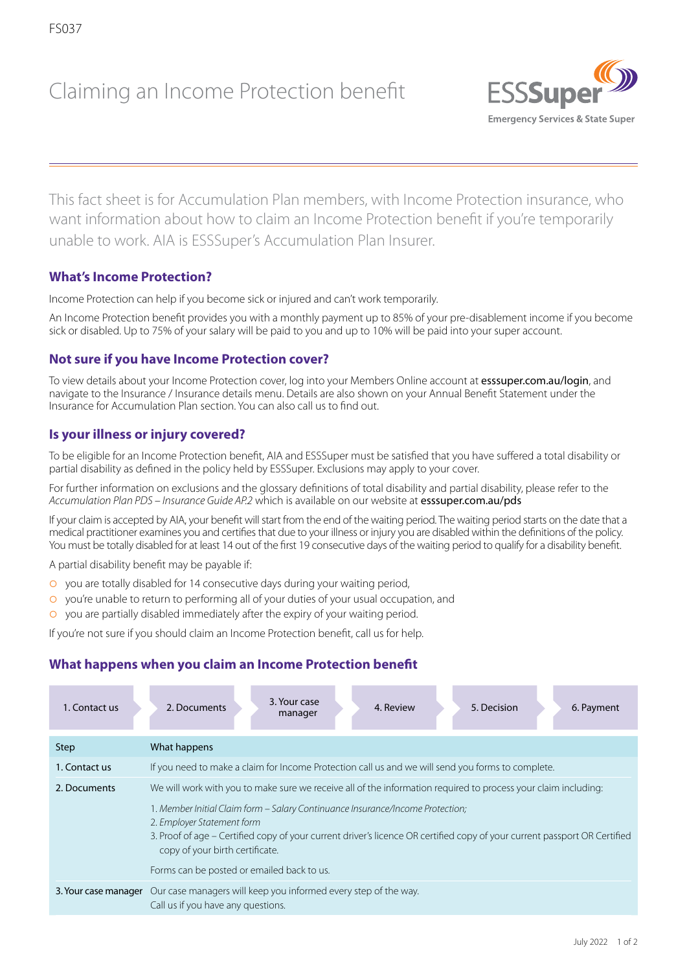# Claiming an Income Protection benefit



This fact sheet is for Accumulation Plan members, with Income Protection insurance, who want information about how to claim an Income Protection benefit if you're temporarily unable to work. AIA is ESSSuper's Accumulation Plan Insurer.

# **What's Income Protection?**

Income Protection can help if you become sick or injured and can't work temporarily.

An Income Protection benefit provides you with a monthly payment up to 85% of your pre-disablement income if you become sick or disabled. Up to 75% of your salary will be paid to you and up to 10% will be paid into your super account.

# **Not sure if you have Income Protection cover?**

To view details about your Income Protection cover, log into your Members Online account at [esssuper.com.au/login](http://esssuper.com.au/login), and navigate to the Insurance / Insurance details menu. Details are also shown on your Annual Benefit Statement under the Insurance for Accumulation Plan section. You can also call us to find out.

# **Is your illness or injury covered?**

To be eligible for an Income Protection benefit, AIA and ESSSuper must be satisfied that you have suffered a total disability or partial disability as defined in the policy held by ESSSuper. Exclusions may apply to your cover.

For further information on exclusions and the glossary definitions of total disability and partial disability, please refer to the *Accumulation Plan PDS – Insurance Guide AP.2* which is available on our website at [esssuper.com.au/pds](http://esssuper.com.au/pds)

If your claim is accepted by AIA, your benefit will start from the end of the waiting period. The waiting period starts on the date that a medical practitioner examines you and certifies that due to your illness or injury you are disabled within the definitions of the policy. You must be totally disabled for at least 14 out of the first 19 consecutive days of the waiting period to qualify for a disability benefit.

A partial disability benefit may be payable if:

- **O** you are totally disabled for 14 consecutive days during your waiting period,
- **o** you're unable to return to performing all of your duties of your usual occupation, and
- $\circ$  you are partially disabled immediately after the expiry of your waiting period.

If you're not sure if you should claim an Income Protection benefit, call us for help.

# **What happens when you claim an Income Protection benefit**

| 1. Contact us | 3. Your case<br>2. Documents<br>4. Review<br>5. Decision<br>6. Payment<br>manager                                                                                                                                                                                            |
|---------------|------------------------------------------------------------------------------------------------------------------------------------------------------------------------------------------------------------------------------------------------------------------------------|
| Step          | What happens                                                                                                                                                                                                                                                                 |
| 1. Contact us | If you need to make a claim for Income Protection call us and we will send you forms to complete.                                                                                                                                                                            |
| 2. Documents  | We will work with you to make sure we receive all of the information required to process your claim including:                                                                                                                                                               |
|               | 1. Member Initial Claim form – Salary Continuance Insurance/Income Protection;<br>2. Employer Statement form<br>3. Proof of age – Certified copy of your current driver's licence OR certified copy of your current passport OR Certified<br>copy of your birth certificate. |
|               | Forms can be posted or emailed back to us.                                                                                                                                                                                                                                   |
|               | 3. Your case manager Our case managers will keep you informed every step of the way.<br>Call us if you have any questions.                                                                                                                                                   |